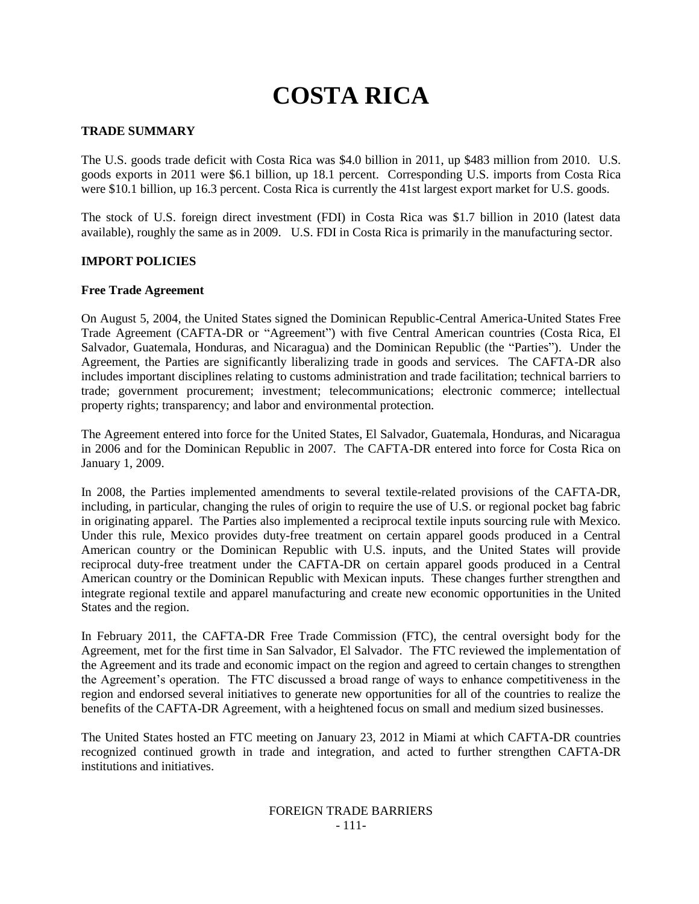# **COSTA RICA**

### **TRADE SUMMARY**

The U.S. goods trade deficit with Costa Rica was \$4.0 billion in 2011, up \$483 million from 2010. U.S. goods exports in 2011 were \$6.1 billion, up 18.1 percent. Corresponding U.S. imports from Costa Rica were \$10.1 billion, up 16.3 percent. Costa Rica is currently the 41st largest export market for U.S. goods.

The stock of U.S. foreign direct investment (FDI) in Costa Rica was \$1.7 billion in 2010 (latest data available), roughly the same as in 2009. U.S. FDI in Costa Rica is primarily in the manufacturing sector.

#### **IMPORT POLICIES**

#### **Free Trade Agreement**

On August 5, 2004, the United States signed the Dominican Republic-Central America-United States Free Trade Agreement (CAFTA-DR or "Agreement") with five Central American countries (Costa Rica, El Salvador, Guatemala, Honduras, and Nicaragua) and the Dominican Republic (the "Parties"). Under the Agreement, the Parties are significantly liberalizing trade in goods and services. The CAFTA-DR also includes important disciplines relating to customs administration and trade facilitation; technical barriers to trade; government procurement; investment; telecommunications; electronic commerce; intellectual property rights; transparency; and labor and environmental protection.

The Agreement entered into force for the United States, El Salvador, Guatemala, Honduras, and Nicaragua in 2006 and for the Dominican Republic in 2007. The CAFTA-DR entered into force for Costa Rica on January 1, 2009.

In 2008, the Parties implemented amendments to several textile-related provisions of the CAFTA-DR, including, in particular, changing the rules of origin to require the use of U.S. or regional pocket bag fabric in originating apparel. The Parties also implemented a reciprocal textile inputs sourcing rule with Mexico. Under this rule, Mexico provides duty-free treatment on certain apparel goods produced in a Central American country or the Dominican Republic with U.S. inputs, and the United States will provide reciprocal duty-free treatment under the CAFTA-DR on certain apparel goods produced in a Central American country or the Dominican Republic with Mexican inputs. These changes further strengthen and integrate regional textile and apparel manufacturing and create new economic opportunities in the United States and the region.

In February 2011, the CAFTA-DR Free Trade Commission (FTC), the central oversight body for the Agreement, met for the first time in San Salvador, El Salvador. The FTC reviewed the implementation of the Agreement and its trade and economic impact on the region and agreed to certain changes to strengthen the Agreement"s operation. The FTC discussed a broad range of ways to enhance competitiveness in the region and endorsed several initiatives to generate new opportunities for all of the countries to realize the benefits of the CAFTA-DR Agreement, with a heightened focus on small and medium sized businesses.

The United States hosted an FTC meeting on January 23, 2012 in Miami at which CAFTA-DR countries recognized continued growth in trade and integration, and acted to further strengthen CAFTA-DR institutions and initiatives.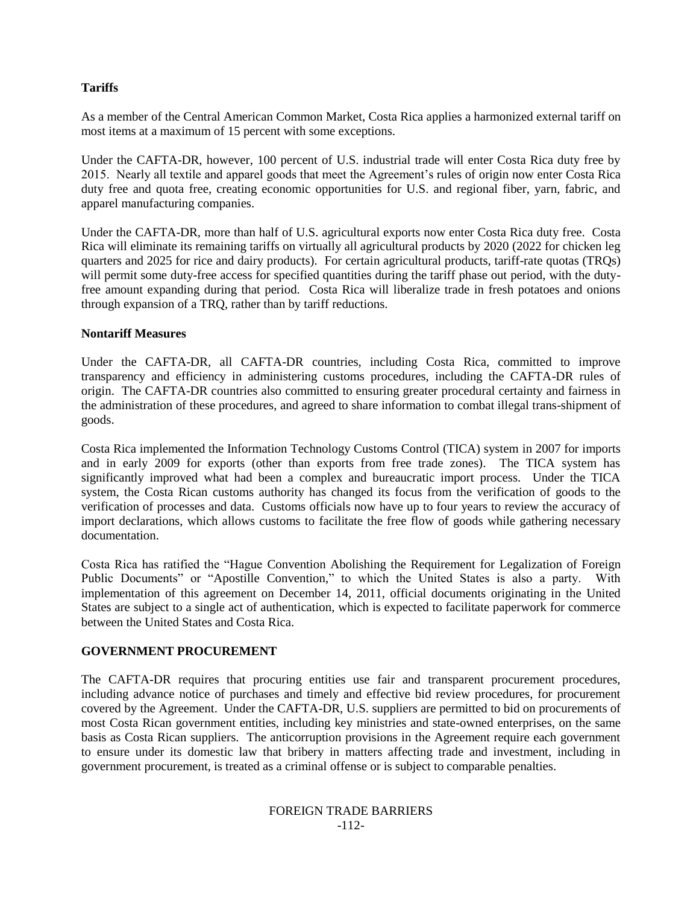# **Tariffs**

As a member of the Central American Common Market, Costa Rica applies a harmonized external tariff on most items at a maximum of 15 percent with some exceptions.

Under the CAFTA-DR, however, 100 percent of U.S. industrial trade will enter Costa Rica duty free by 2015. Nearly all textile and apparel goods that meet the Agreement"s rules of origin now enter Costa Rica duty free and quota free, creating economic opportunities for U.S. and regional fiber, yarn, fabric, and apparel manufacturing companies.

Under the CAFTA-DR, more than half of U.S. agricultural exports now enter Costa Rica duty free. Costa Rica will eliminate its remaining tariffs on virtually all agricultural products by 2020 (2022 for chicken leg quarters and 2025 for rice and dairy products). For certain agricultural products, tariff-rate quotas (TRQs) will permit some duty-free access for specified quantities during the tariff phase out period, with the dutyfree amount expanding during that period. Costa Rica will liberalize trade in fresh potatoes and onions through expansion of a TRQ, rather than by tariff reductions.

## **Nontariff Measures**

Under the CAFTA-DR, all CAFTA-DR countries, including Costa Rica, committed to improve transparency and efficiency in administering customs procedures, including the CAFTA-DR rules of origin. The CAFTA-DR countries also committed to ensuring greater procedural certainty and fairness in the administration of these procedures, and agreed to share information to combat illegal trans-shipment of goods.

Costa Rica implemented the Information Technology Customs Control (TICA) system in 2007 for imports and in early 2009 for exports (other than exports from free trade zones). The TICA system has significantly improved what had been a complex and bureaucratic import process. Under the TICA system, the Costa Rican customs authority has changed its focus from the verification of goods to the verification of processes and data. Customs officials now have up to four years to review the accuracy of import declarations, which allows customs to facilitate the free flow of goods while gathering necessary documentation.

Costa Rica has ratified the "Hague Convention Abolishing the Requirement for Legalization of Foreign Public Documents" or "Apostille Convention," to which the United States is also a party. With implementation of this agreement on December 14, 2011, official documents originating in the United States are subject to a single act of authentication, which is expected to facilitate paperwork for commerce between the United States and Costa Rica.

## **GOVERNMENT PROCUREMENT**

The CAFTA-DR requires that procuring entities use fair and transparent procurement procedures, including advance notice of purchases and timely and effective bid review procedures, for procurement covered by the Agreement. Under the CAFTA-DR, U.S. suppliers are permitted to bid on procurements of most Costa Rican government entities, including key ministries and state-owned enterprises, on the same basis as Costa Rican suppliers. The anticorruption provisions in the Agreement require each government to ensure under its domestic law that bribery in matters affecting trade and investment, including in government procurement, is treated as a criminal offense or is subject to comparable penalties.

#### FOREIGN TRADE BARRIERS -112-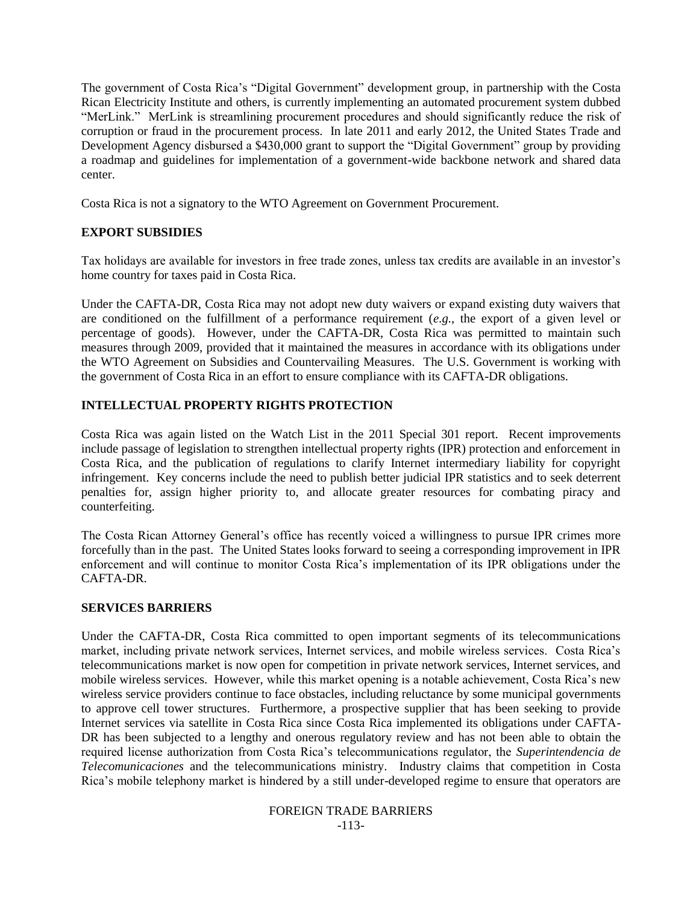The government of Costa Rica"s "Digital Government" development group, in partnership with the Costa Rican Electricity Institute and others, is currently implementing an automated procurement system dubbed "MerLink." MerLink is streamlining procurement procedures and should significantly reduce the risk of corruption or fraud in the procurement process. In late 2011 and early 2012, the United States Trade and Development Agency disbursed a \$430,000 grant to support the "Digital Government" group by providing a roadmap and guidelines for implementation of a government-wide backbone network and shared data center.

Costa Rica is not a signatory to the WTO Agreement on Government Procurement.

# **EXPORT SUBSIDIES**

Tax holidays are available for investors in free trade zones, unless tax credits are available in an investor"s home country for taxes paid in Costa Rica.

Under the CAFTA-DR, Costa Rica may not adopt new duty waivers or expand existing duty waivers that are conditioned on the fulfillment of a performance requirement (*e.g.*, the export of a given level or percentage of goods). However, under the CAFTA-DR, Costa Rica was permitted to maintain such measures through 2009, provided that it maintained the measures in accordance with its obligations under the WTO Agreement on Subsidies and Countervailing Measures. The U.S. Government is working with the government of Costa Rica in an effort to ensure compliance with its CAFTA-DR obligations.

# **INTELLECTUAL PROPERTY RIGHTS PROTECTION**

Costa Rica was again listed on the Watch List in the 2011 Special 301 report. Recent improvements include passage of legislation to strengthen intellectual property rights (IPR) protection and enforcement in Costa Rica, and the publication of regulations to clarify Internet intermediary liability for copyright infringement. Key concerns include the need to publish better judicial IPR statistics and to seek deterrent penalties for, assign higher priority to, and allocate greater resources for combating piracy and counterfeiting.

The Costa Rican Attorney General"s office has recently voiced a willingness to pursue IPR crimes more forcefully than in the past. The United States looks forward to seeing a corresponding improvement in IPR enforcement and will continue to monitor Costa Rica"s implementation of its IPR obligations under the CAFTA-DR.

# **SERVICES BARRIERS**

Under the CAFTA-DR, Costa Rica committed to open important segments of its telecommunications market, including private network services, Internet services, and mobile wireless services. Costa Rica"s telecommunications market is now open for competition in private network services, Internet services, and mobile wireless services. However, while this market opening is a notable achievement, Costa Rica"s new wireless service providers continue to face obstacles, including reluctance by some municipal governments to approve cell tower structures. Furthermore, a prospective supplier that has been seeking to provide Internet services via satellite in Costa Rica since Costa Rica implemented its obligations under CAFTA-DR has been subjected to a lengthy and onerous regulatory review and has not been able to obtain the required license authorization from Costa Rica"s telecommunications regulator, the *Superintendencia de Telecomunicaciones* and the telecommunications ministry. Industry claims that competition in Costa Rica"s mobile telephony market is hindered by a still under-developed regime to ensure that operators are

> FOREIGN TRADE BARRIERS -113-